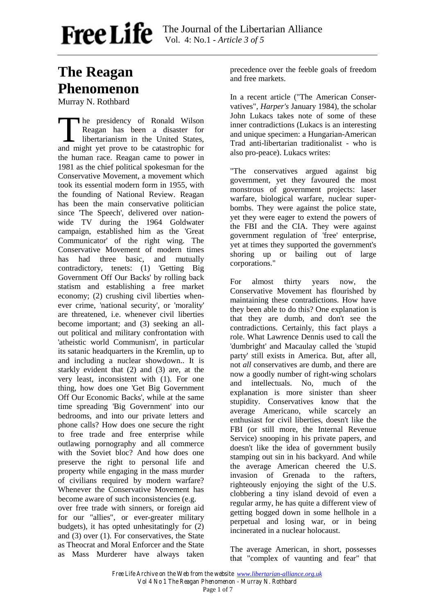# **The Reagan Phenomenon**

Murray N. Rothbard

he presidency of Ronald Wilson Reagan has been a disaster for libertarianism in the United States, The presidency of Ronald Wilson<br>Reagan has been a disaster for<br>libertarianism in the United States,<br>and might yet prove to be catastrophic for the human race. Reagan came to power in 1981 as the chief political spokesman for the Conservative Movement, a movement which took its essential modern form in 1955, with the founding of National Review. Reagan has been the main conservative politician since 'The Speech', delivered over nationwide TV during the 1964 Goldwater campaign, established him as the 'Great Communicator' of the right wing. The Conservative Movement of modern times has had three basic, and mutually contradictory, tenets: (1) 'Getting Big Government Off Our Backs' by rolling back statism and establishing a free market economy; (2) crushing civil liberties whenever crime, 'national security', or 'morality' are threatened, i.e. whenever civil liberties become important; and (3) seeking an allout political and military confrontation with 'atheistic world Communism', in particular its satanic headquarters in the Kremlin, up to and including a nuclear showdown.. It is starkly evident that (2) and (3) are, at the very least, inconsistent with (1). For one thing, how does one 'Get Big Government Off Our Economic Backs', while at the same time spreading 'Big Government' into our bedrooms, and into our private letters and phone calls? How does one secure the right to free trade and free enterprise while outlawing pornography and all commerce with the Soviet bloc? And how does one preserve the right to personal life and property while engaging in the mass murder of civilians required by modern warfare? Whenever the Conservative Movement has become aware of such inconsistencies (e.g.

over free trade with sinners, or foreign aid for our "allies", or ever-greater military budgets), it has opted unhesitatingly for (2) and (3) over (1). For conservatives, the State as Theocrat and Moral Enforcer and the State as Mass Murderer have always taken

precedence over the feeble goals of freedom and free markets.

In a recent article ("The American Conservatives", *Harper's* January 1984), the scholar John Lukacs takes note of some of these inner contradictions (Lukacs is an interesting and unique specimen: a Hungarian-American Trad anti-libertarian traditionalist - who is also pro-peace). Lukacs writes:

"The conservatives argued against big government, yet they favoured the most monstrous of government projects: laser warfare, biological warfare, nuclear superbombs. They were against the police state, yet they were eager to extend the powers of the FBI and the CIA. They were against government regulation of 'free' enterprise, yet at times they supported the government's shoring up or bailing out of large corporations."

For almost thirty years now, the Conservative Movement has flourished by maintaining these contradictions. How have they been able to do this? One explanation is that they are dumb, and don't see the contradictions. Certainly, this fact plays a role. What Lawrence Dennis used to call the 'dumbright' and Macaulay called the 'stupid party' still exists in America. But, after all, not *all* conservatives are dumb, and there are now a goodly number of right-wing scholars and intellectuals. No, much of the explanation is more sinister than sheer stupidity. Conservatives know that the average Americano, while scarcely an enthusiast for civil liberties, doesn't like the FBI (or still more, the Internal Revenue Service) snooping in his private papers, and doesn't like the idea of government busily stamping out sin in his backyard. And while the average American cheered the U.S. invasion of Grenada to the rafters, righteously enjoying the sight of the U.S. clobbering a tiny island devoid of even a regular army, he has quite a different view of getting bogged down in some hellhole in a perpetual and losing war, or in being incinerated in a nuclear holocaust.

The average American, in short, possesses that "complex of vaunting and fear" that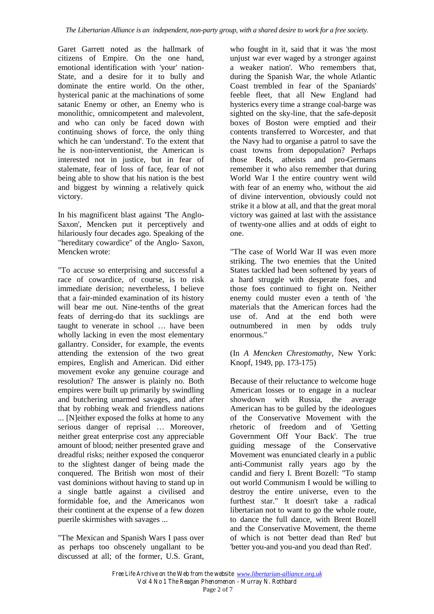Garet Garrett noted as the hallmark of citizens of Empire. On the one hand, emotional identification with 'your' nation-State, and a desire for it to bully and dominate the entire world. On the other, hysterical panic at the machinations of some satanic Enemy or other, an Enemy who is monolithic, omnicompetent and malevolent, and who can only be faced down with continuing shows of force, the only thing which he can 'understand'. To the extent that he is non-interventionist, the American is interested not in justice, but in fear of stalemate, fear of loss of face, fear of not being able to show that his nation is the best and biggest by winning a relatively quick victory.

In his magnificent blast against 'The Anglo-Saxon', Mencken put it perceptively and hilariously four decades ago. Speaking of the "hereditary cowardice" of the Anglo- Saxon, Mencken wrote:

"To accuse so enterprising and successful a race of cowardice, of course, is to risk immediate derision; nevertheless, I believe that a fair-minded examination of its history will bear me out. Nine-tenths of the great feats of derring-do that its sucklings are taught to venerate in school … have been wholly lacking in even the most elementary gallantry. Consider, for example, the events attending the extension of the two great empires, English and American. Did either movement evoke any genuine courage and resolution? The answer is plainly no. Both empires were built up primarily by swindling and butchering unarmed savages, and after that by robbing weak and friendless nations ... [N]either exposed the folks at home to any serious danger of reprisal … Moreover, neither great enterprise cost any appreciable amount of blood; neither presented grave and dreadful risks; neither exposed the conqueror to the slightest danger of being made the conquered. The British won most of their vast dominions without having to stand up in a single battle against a civilised and formidable foe, and the Americanos won their continent at the expense of a few dozen puerile skirmishes with savages ...

"The Mexican and Spanish Wars I pass over as perhaps too obscenely ungallant to be discussed at all; of the former, U.S. Grant,

who fought in it, said that it was 'the most unjust war ever waged by a stronger against a weaker nation'. Who remembers that, during the Spanish War, the whole Atlantic Coast trembled in fear of the Spaniards' feeble fleet, that all New England had hysterics every time a strange coal-barge was sighted on the sky-line, that the safe-deposit boxes of Boston were emptied and their contents transferred to Worcester, and that the Navy had to organise a patrol to save the coast towns from depopulation? Perhaps those Reds, atheists and pro-Germans remember it who also remember that during World War I the entire country went wild with fear of an enemy who, without the aid of divine intervention, obviously could not strike it a blow at all, and that the great moral victory was gained at last with the assistance of twenty-one allies and at odds of eight to one.

"The case of World War II was even more striking. The two enemies that the United States tackled had been softened by years of a hard struggle with desperate foes, and those foes continued to fight on. Neither enemy could muster even a tenth of 'the materials that the American forces had the use of. And at the end both were outnumbered in men by odds truly enormous."

(In *A Mencken Chrestomathy*, New York: Knopf, 1949, pp. 173-175)

Because of their reluctance to welcome huge American losses or to engage in a nuclear showdown with Russia, the average American has to be gulled by the ideologues of the Conservative Movement with the rhetoric of freedom and of 'Getting Government Off Your Back'. The true guiding message of the Conservative Movement was enunciated clearly in a public anti-Communist rally years ago by the candid and fiery I. Brent Bozell: "To stamp out world Communism I would be willing to destroy the entire universe, even to the furthest star." It doesn't take a radical libertarian not to want to go the whole route, to dance the full dance, with Brent Bozell and the Conservative Movement, the theme of which is not 'better dead than Red' but 'better you-and you-and you dead than Red'.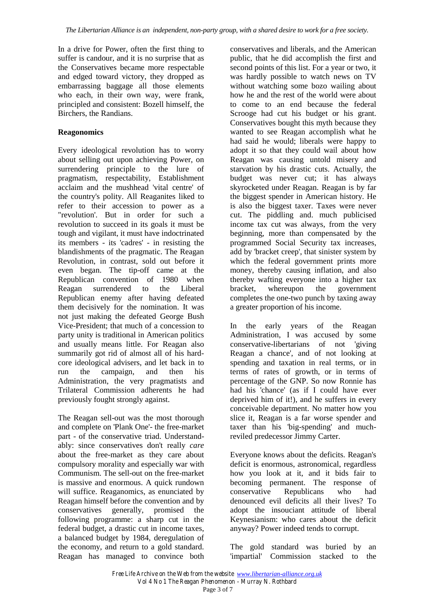In a drive for Power, often the first thing to suffer is candour, and it is no surprise that as the Conservatives became more respectable and edged toward victory, they dropped as embarrassing baggage all those elements who each, in their own way, were frank, principled and consistent: Bozell himself, the Birchers, the Randians.

### **Reagonomics**

Every ideological revolution has to worry about selling out upon achieving Power, on surrendering principle to the lure of pragmatism, respectability, Establishment acclaim and the mushhead 'vital centre' of the country's polity. All Reaganites liked to refer to their accession to power as a "revolution'. But in order for such a revolution to succeed in its goals it must be tough and vigilant, it must have indoctrinated its members - its 'cadres' - in resisting the blandishments of the pragmatic. The Reagan Revolution, in contrast, sold out before it even began. The tip-off came at the Republican convention of 1980 when Reagan surrendered to the Liberal Republican enemy after having defeated them decisively for the nomination. It was not just making the defeated George Bush Vice-President; that much of a concession to party unity is traditional in American politics and usually means little. For Reagan also summarily got rid of almost all of his hardcore ideological advisers, and let back in to run the campaign, and then his Administration, the very pragmatists and Trilateral Commission adherents he had previously fought strongly against.

The Reagan sell-out was the most thorough and complete on 'Plank One'- the free-market part - of the conservative triad. Understandably: since conservatives don't really *care* about the free-market as they care about compulsory morality and especially war with Communism. The sell-out on the free-market is massive and enormous. A quick rundown will suffice. Reaganomics, as enunciated by Reagan himself before the convention and by conservatives generally, promised the following programme: a sharp cut in the federal budget, a drastic cut in income taxes, a balanced budget by 1984, deregulation of the economy, and return to a gold standard. Reagan has managed to convince both

conservatives and liberals, and the American public, that he did accomplish the first and second points of this list. For a year or two, it was hardly possible to watch news on TV without watching some bozo wailing about how he and the rest of the world were about to come to an end because the federal Scrooge had cut his budget or his grant. Conservatives bought this myth because they wanted to see Reagan accomplish what he had said he would; liberals were happy to adopt it so that they could wail about how Reagan was causing untold misery and starvation by his drastic cuts. Actually, the budget was never cut; it has always skyrocketed under Reagan. Reagan is by far the biggest spender in American history. He is also the biggest taxer. Taxes were never cut. The piddling and. much publicised income tax cut was always, from the very beginning, more than compensated by the programmed Social Security tax increases, add by 'bracket creep', that sinister system by which the federal government prints more money, thereby causing inflation, and also thereby wafting everyone into a higher tax bracket, whereupon the government completes the one-two punch by taxing away a greater proportion of his income.

In the early years of the Reagan Administration, I was accused by some conservative-libertarians of not 'giving Reagan a chance', and of not looking at spending and taxation in real terms, or in terms of rates of growth, or in terms of percentage of the GNP. So now Ronnie has had his 'chance' (as if I could have ever deprived him of it!), and he suffers in every conceivable department. No matter how you slice it, Reagan is a far worse spender and taxer than his 'big-spending' and muchreviled predecessor Jimmy Carter.

Everyone knows about the deficits. Reagan's deficit is enormous, astronomical, regardless how you look at it, and it bids fair to becoming permanent. The response of conservative Republicans who had denounced evil deficits all their lives? To adopt the insouciant attitude of liberal Keynesianism: who cares about the deficit anyway? Power indeed tends to corrupt.

The gold standard was buried by an 'impartial' Commission stacked to the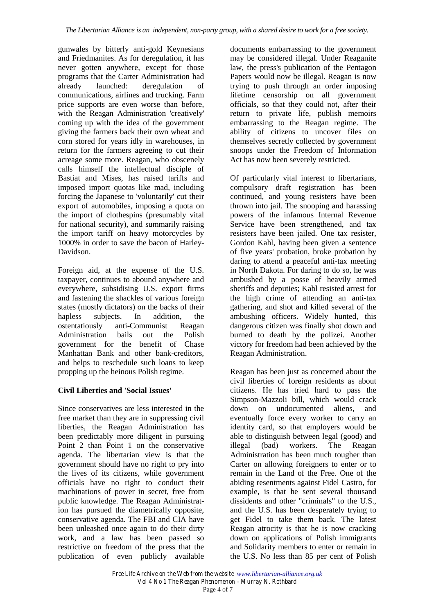gunwales by bitterly anti-gold Keynesians and Friedmanites. As for deregulation, it has never gotten anywhere, except for those programs that the Carter Administration had already launched: deregulation of communications, airlines and trucking. Farm price supports are even worse than before, with the Reagan Administration 'creatively' coming up with the idea of the government giving the farmers back their own wheat and corn stored for years idly in warehouses, in return for the farmers agreeing to cut their acreage some more. Reagan, who obscenely calls himself the intellectual disciple of Bastiat and Mises, has raised tariffs and imposed import quotas like mad, including forcing the Japanese to 'voluntarily' cut their export of automobiles, imposing a quota on the import of clothespins (presumably vital for national security), and summarily raising the import tariff on heavy motorcycles by 1000% in order to save the bacon of Harley-Davidson.

Foreign aid, at the expense of the U.S. taxpayer, continues to abound anywhere and everywhere, subsidising U.S. export firms and fastening the shackles of various foreign states (mostly dictators) on the backs of their hapless subjects. In addition, the ostentatiously anti-Communist Reagan Administration bails out the Polish government for the benefit of Chase Manhattan Bank and other bank-creditors, and helps to reschedule such loans to keep propping up the heinous Polish regime.

### **Civil Liberties and 'Social Issues'**

Since conservatives are less interested in the free market than they are in suppressing civil liberties, the Reagan Administration has been predictably more diligent in pursuing Point 2 than Point 1 on the conservative agenda. The libertarian view is that the government should have no right to pry into the lives of its citizens, while government officials have no right to conduct their machinations of power in secret, free from public knowledge. The Reagan Administration has pursued the diametrically opposite, conservative agenda. The FBI and CIA have been unleashed once again to do their dirty work, and a law has been passed so restrictive on freedom of the press that the publication of even publicly available

documents embarrassing to the government may be considered illegal. Under Reaganite law, the press's publication of the Pentagon Papers would now be illegal. Reagan is now trying to push through an order imposing lifetime censorship on all government officials, so that they could not, after their return to private life, publish memoirs embarrassing to the Reagan regime. The ability of citizens to uncover files on themselves secretly collected by government snoops under the Freedom of Information Act has now been severely restricted.

Of particularly vital interest to libertarians, compulsory draft registration has been continued, and young resisters have been thrown into jail. The snooping and harassing powers of the infamous Internal Revenue Service have been strengthened, and tax resisters have been jailed. One tax resister, Gordon Kahl, having been given a sentence of five years' probation, broke probation by daring to attend a peaceful anti-tax meeting in North Dakota. For daring to do so, he was ambushed by a posse of heavily armed sheriffs and deputies; Kabl resisted arrest for the high crime of attending an anti-tax gathering, and shot and killed several of the ambushing officers. Widely hunted, this dangerous citizen was finally shot down and burned to death by the polizei. Another victory for freedom had been achieved by the Reagan Administration.

Reagan has been just as concerned about the civil liberties of foreign residents as about citizens. He has tried hard to pass the Simpson-Mazzoli bill, which would crack down on undocumented aliens, and eventually force every worker to carry an identity card, so that employers would be able to distinguish between legal (good) and illegal (bad) workers. The Reagan Administration has been much tougher than Carter on allowing foreigners to enter or to remain in the Land of the Free. One of the abiding resentments against Fidel Castro, for example, is that he sent several thousand dissidents and other "criminals" to the U.S., and the U.S. has been desperately trying to get Fidel to take them back. The latest Reagan atrocity is that he is now cracking down on applications of Polish immigrants and Solidarity members to enter or remain in the U.S. No less than 85 per cent of Polish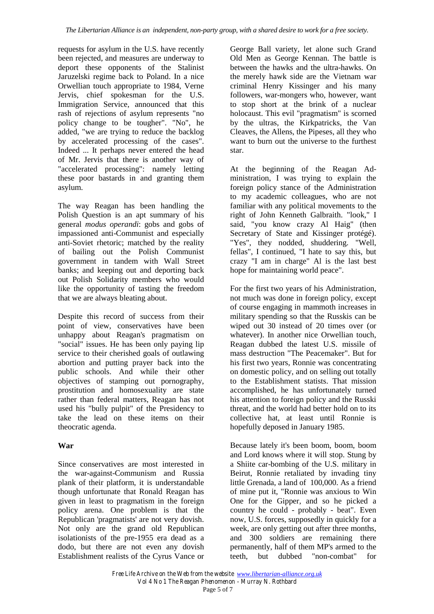requests for asylum in the U.S. have recently been rejected, and measures are underway to deport these opponents of the Stalinist Jaruzelski regime back to Poland. In a nice Orwellian touch appropriate to 1984, Verne Jervis, chief spokesman for the U.S. Immigration Service, announced that this rash of rejections of asylum represents "no policy change to be tougher". "No", he added, "we are trying to reduce the backlog by accelerated processing of the cases". Indeed ... It perhaps never entered the head of Mr. Jervis that there is another way of "accelerated processing": namely letting these poor bastards in and granting them asylum.

The way Reagan has been handling the Polish Question is an apt summary of his general *modus operandi*: gobs and gobs of impassioned anti-Communist and especially anti-Soviet rhetoric; matched by the reality of bailing out the Polish Communist government in tandem with Wall Street banks; and keeping out and deporting back out Polish Solidarity members who would like the opportunity of tasting the freedom that we are always bleating about.

Despite this record of success from their point of view, conservatives have been unhappy about Reagan's pragmatism on "social" issues. He has been only paying lip service to their cherished goals of outlawing abortion and putting prayer back into the public schools. And while their other objectives of stamping out pornography, prostitution and homosexuality are state rather than federal matters, Reagan has not used his "bully pulpit" of the Presidency to take the lead on these items on their theocratic agenda.

### **War**

Since conservatives are most interested in the war-against-Communism and Russia plank of their platform, it is understandable though unfortunate that Ronald Reagan has given in least to pragmatism in the foreign policy arena. One problem is that the Republican 'pragmatists' are not very dovish. Not only are the grand old Republican isolationists of the pre-1955 era dead as a dodo, but there are not even any dovish Establishment realists of the Cyrus Vance or

George Ball variety, let alone such Grand Old Men as George Kennan. The battle is between the hawks and the ultra-hawks. On the merely hawk side are the Vietnam war criminal Henry Kissinger and his many followers, war-mongers who, however, want to stop short at the brink of a nuclear holocaust. This evil "pragmatism" is scorned by the ultras, the Kirkpatricks, the Van Cleaves, the Allens, the Pipeses, all they who want to burn out the universe to the furthest star.

At the beginning of the Reagan Administration, I was trying to explain the foreign policy stance of the Administration to my academic colleagues, who are not familiar with any political movements to the right of John Kenneth Galbraith. "look," I said, "you know crazy Al Haig" (then Secretary of State and Kissinger protégé). "Yes", they nodded, shuddering. "Well, fellas", I continued, "I hate to say this, but crazy "I am in charge" Al is the last best hope for maintaining world peace".

For the first two years of his Administration, not much was done in foreign policy, except of course engaging in mammoth increases in military spending so that the Russkis can be wiped out 30 instead of 20 times over (or whatever). In another nice Orwellian touch, Reagan dubbed the latest U.S. missile of mass destruction "The Peacemaker". But for his first two years, Ronnie was concentrating on domestic policy, and on selling out totally to the Establishment statists. That mission accomplished, he has unfortunately turned his attention to foreign policy and the Russki threat, and the world had better hold on to its collective hat, at least until Ronnie is hopefully deposed in January 1985.

Because lately it's been boom, boom, boom and Lord knows where it will stop. Stung by a Shiite car-bombing of the U.S. military in Beirut, Ronnie retaliated by invading tiny little Grenada, a land of 100,000. As a friend of mine put it, "Ronnie was anxious to Win One for the Gipper, and so he picked a country he could - probably - beat". Even now, U.S. forces, supposedly in quickly for a week, are only getting out after three months, and 300 soldiers are remaining there permanently, half of them MP's armed to the teeth, but dubbed "non-combat" for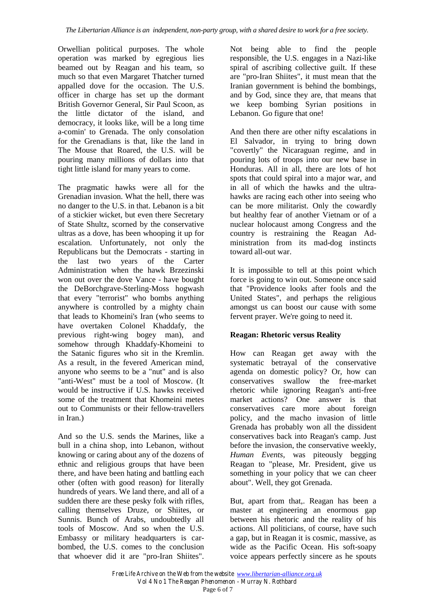Orwellian political purposes. The whole operation was marked by egregious lies beamed out by Reagan and his team, so much so that even Margaret Thatcher turned appalled dove for the occasion. The U.S. officer in charge has set up the dormant British Governor General, Sir Paul Scoon, as the little dictator of the island, and democracy, it looks like, will be a long time a-comin' to Grenada. The only consolation for the Grenadians is that, like the land in The Mouse that Roared, the U.S. will be pouring many millions of dollars into that tight little island for many years to come.

The pragmatic hawks were all for the Grenadian invasion. What the hell, there was no danger to the U.S. in that. Lebanon is a bit of a stickier wicket, but even there Secretary of State Shultz, scorned by the conservative ultras as a dove, has been whooping it up for escalation. Unfortunately, not only the Republicans but the Democrats - starting in the last two years of the Carter Administration when the hawk Brzezinski won out over the dove Vance - have bought the DeBorchgrave-Sterling-Moss hogwash that every "terrorist" who bombs anything anywhere is controlled by a mighty chain that leads to Khomeini's Iran (who seems to have overtaken Colonel Khaddafy, the previous right-wing bogey man), and somehow through Khaddafy-Khomeini to the Satanic figures who sit in the Kremlin. As a result, in the fevered American mind, anyone who seems to be a "nut" and is also "anti-West" must be a tool of Moscow. (It would be instructive if U.S. hawks received some of the treatment that Khomeini metes out to Communists or their fellow-travellers in Iran.)

And so the U.S. sends the Marines, like a bull in a china shop, into Lebanon, without knowing or caring about any of the dozens of ethnic and religious groups that have been there, and have been hating and battling each other (often with good reason) for literally hundreds of years. We land there, and all of a sudden there are these pesky folk with rifles, calling themselves Druze, or Shiites, or Sunnis. Bunch of Arabs, undoubtedly all tools of Moscow. And so when the U.S. Embassy or military headquarters is carbombed, the U.S. comes to the conclusion that whoever did it are "pro-Iran Shiites".

Not being able to find the people responsible, the U.S. engages in a Nazi-like spiral of ascribing collective guilt. If these are "pro-Iran Shiites", it must mean that the Iranian government is behind the bombings, and by God, since they are, that means that we keep bombing Syrian positions in Lebanon. Go figure that one!

And then there are other nifty escalations in El Salvador, in trying to bring down "covertly" the Nicaraguan regime, and in pouring lots of troops into our new base in Honduras. All in all, there are lots of hot spots that could spiral into a major war, and in all of which the hawks and the ultrahawks are racing each other into seeing who can be more militarist. Only the cowardly but healthy fear of another Vietnam or of a nuclear holocaust among Congress and the country is restraining the Reagan Administration from its mad-dog instincts toward all-out war.

It is impossible to tell at this point which force is going to win out. Someone once said that "Providence looks after fools and the United States", and perhaps the religious amongst us can boost our cause with some fervent prayer. We're going to need it.

### **Reagan: Rhetoric versus Reality**

How can Reagan get away with the systematic betrayal of the conservative agenda on domestic policy? Or, how can conservatives swallow the free-market rhetoric while ignoring Reagan's anti-free market actions? One answer is that conservatives care more about foreign policy, and the macho invasion of little Grenada has probably won all the dissident conservatives back into Reagan's camp. Just before the invasion, the conservative weekly, *Human Events*, was piteously begging Reagan to "please, Mr. President, give us something in your policy that we can cheer about". Well, they got Grenada.

But, apart from that,. Reagan has been a master at engineering an enormous gap between his rhetoric and the reality of his actions. All politicians, of course, have such a gap, but in Reagan it is cosmic, massive, as wide as the Pacific Ocean. His soft-soapy voice appears perfectly sincere as he spouts